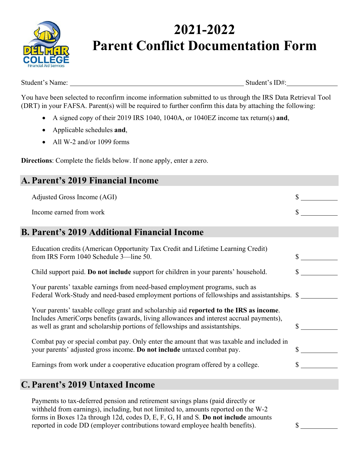

## **2021-2022 Parent Conflict Documentation Form**

Student's Name: Student's ID#:

You have been selected to reconfirm income information submitted to us through the IRS Data Retrieval Tool (DRT) in your FAFSA. Parent(s) will be required to further confirm this data by attaching the following:

- A signed copy of their 2019 IRS 1040, 1040A, or 1040EZ income tax return(s) **and**,
- Applicable schedules **and**,
- All W-2 and/or 1099 forms

**Directions**: Complete the fields below. If none apply, enter a zero.

| A. Parent's 2019 Financial Income                                                                                                                                                                                                                                 |    |
|-------------------------------------------------------------------------------------------------------------------------------------------------------------------------------------------------------------------------------------------------------------------|----|
| Adjusted Gross Income (AGI)                                                                                                                                                                                                                                       |    |
| Income earned from work                                                                                                                                                                                                                                           |    |
| <b>B. Parent's 2019 Additional Financial Income</b>                                                                                                                                                                                                               |    |
| Education credits (American Opportunity Tax Credit and Lifetime Learning Credit)<br>from IRS Form 1040 Schedule 3—line 50.                                                                                                                                        |    |
| Child support paid. Do not include support for children in your parents' household.                                                                                                                                                                               |    |
| Your parents' taxable earnings from need-based employment programs, such as<br>Federal Work-Study and need-based employment portions of fellowships and assistantships. \$                                                                                        |    |
| Your parents' taxable college grant and scholarship aid reported to the IRS as income.<br>Includes AmeriCorps benefits (awards, living allowances and interest accrual payments),<br>as well as grant and scholarship portions of fellowships and assistantships. | \$ |
| Combat pay or special combat pay. Only enter the amount that was taxable and included in<br>your parents' adjusted gross income. Do not include untaxed combat pay.                                                                                               |    |
| Earnings from work under a cooperative education program offered by a college.                                                                                                                                                                                    |    |
| C. Parent's 2019 Untaxed Income                                                                                                                                                                                                                                   |    |
| Doxporte to toy defeared pension and retirement sovings plans (paid directly on                                                                                                                                                                                   |    |

Payments to tax-deferred pension and retirement savings plans (paid directly or withheld from earnings), including, but not limited to, amounts reported on the W-2 forms in Boxes 12a through 12d, codes D, E, F, G, H and S. **Do not include** amounts reported in code DD (employer contributions toward employee health benefits).  $\$\_$